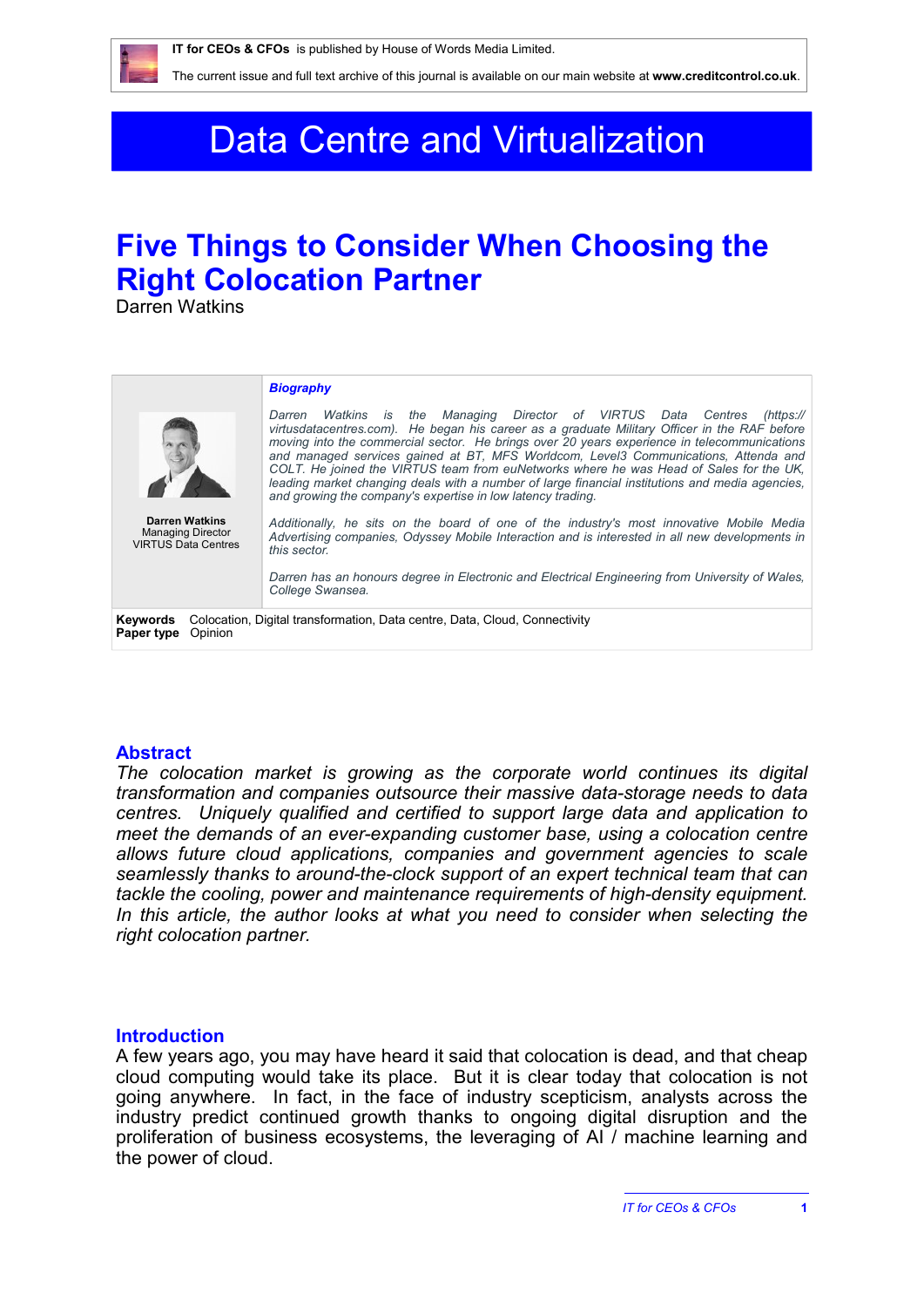

# Data Centre and Virtualization

## **Five Things to Consider When Choosing the Right Colocation Partner**

Darren Watkins

#### *Biography Darren Watkins is the Managing Director of VIRTUS Data Centres (https:// virtusdatacentres.com). He began his career as a graduate Military Officer in the RAF before moving into the commercial sector. He brings over 20 years experience in telecommunications and managed services gained at BT, MFS Worldcom, Level3 Communications, Attenda and COLT. He joined the VIRTUS team from euNetworks where he was Head of Sales for the UK, leading market changing deals with a number of large financial institutions and media agencies, and growing the company's expertise in low latency trading. Additionally, he sits on the board of one of the industry's most innovative Mobile Media Advertising companies, Odyssey Mobile Interaction and is interested in all new developments in this sector. Darren has an honours degree in Electronic and Electrical Engineering from University of Wales, College Swansea.* **Darren Watkins** Managing Director VIRTUS Data Centres **Keywords** Colocation, Digital transformation, Data centre, Data, Cloud, Connectivity **Paper type** Opinion

### **Abstract**

*The colocation market is growing as the corporate world continues its digital transformation and companies outsource their massive data-storage needs to data centres. Uniquely qualified and certified to support large data and application to meet the demands of an ever-expanding customer base, using a colocation centre allows future cloud applications, companies and government agencies to scale seamlessly thanks to around-the-clock support of an expert technical team that can tackle the cooling, power and maintenance requirements of high-density equipment.*  In this article, the author looks at what you need to consider when selecting the *right colocation partner.*

#### **Introduction**

A few years ago, you may have heard it said that colocation is dead, and that cheap cloud computing would take its place. But it is clear today that colocation is not going anywhere. In fact, in the face of industry scepticism, analysts across the industry predict continued growth thanks to ongoing digital disruption and the proliferation of business ecosystems, the leveraging of AI / machine learning and the power of cloud.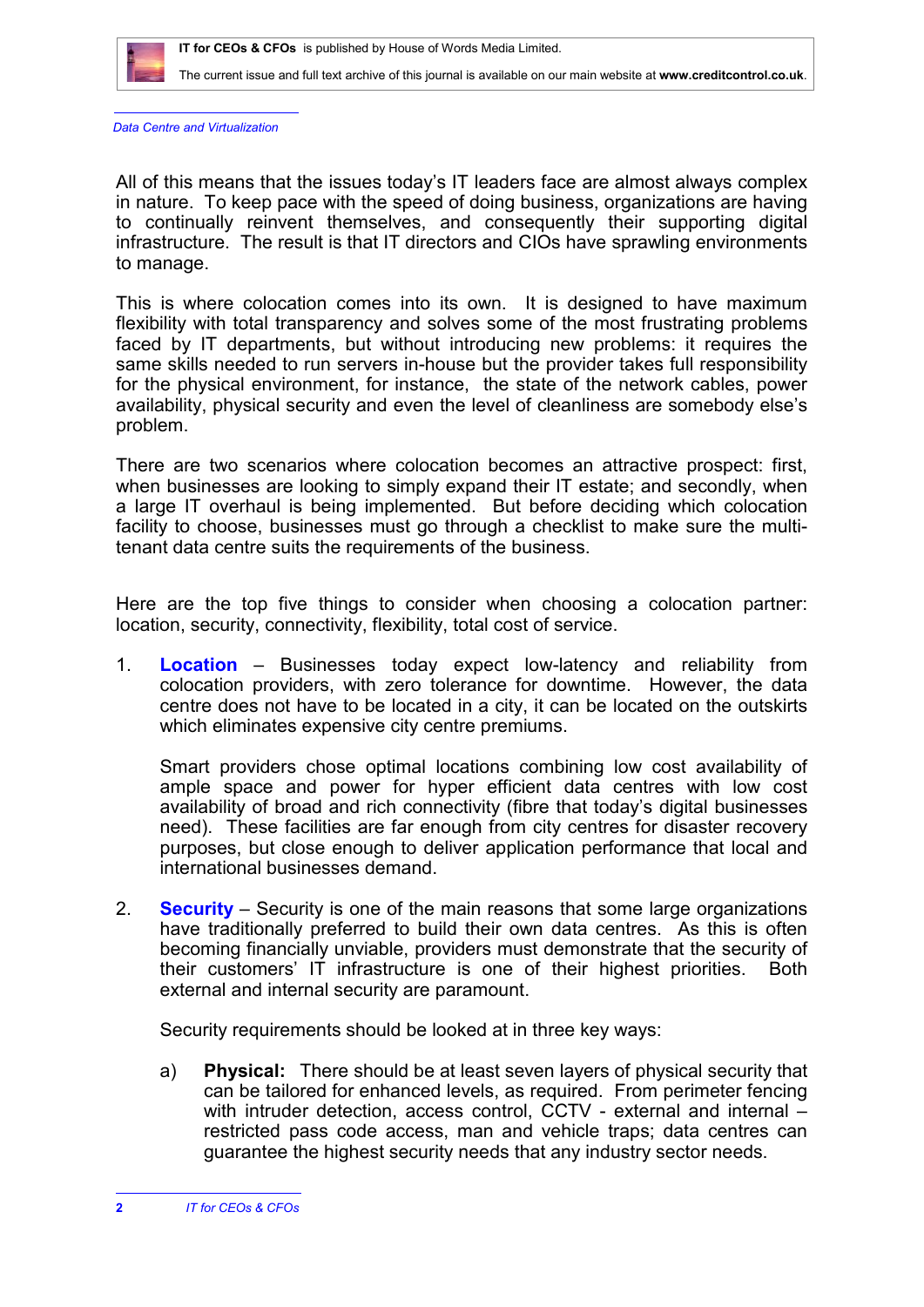

*Data Centre and Virtualization*

All of this means that the issues today's IT leaders face are almost always complex in nature. To keep pace with the speed of doing business, organizations are having to continually reinvent themselves, and consequently their supporting digital infrastructure. The result is that IT directors and CIOs have sprawling environments to manage.

This is where colocation comes into its own. It is designed to have maximum flexibility with total transparency and solves some of the most frustrating problems faced by IT departments, but without introducing new problems: it requires the same skills needed to run servers in-house but the provider takes full responsibility for the physical environment, for instance, the state of the network cables, power availability, physical security and even the level of cleanliness are somebody else's problem.

There are two scenarios where colocation becomes an attractive prospect: first, when businesses are looking to simply expand their IT estate; and secondly, when a large IT overhaul is being implemented. But before deciding which colocation facility to choose, businesses must go through a checklist to make sure the multitenant data centre suits the requirements of the business.

Here are the top five things to consider when choosing a colocation partner: location, security, connectivity, flexibility, total cost of service.

1. **Location** – Businesses today expect low-latency and reliability from colocation providers, with zero tolerance for downtime. However, the data centre does not have to be located in a city, it can be located on the outskirts which eliminates expensive city centre premiums.

Smart providers chose optimal locations combining low cost availability of ample space and power for hyper efficient data centres with low cost availability of broad and rich connectivity (fibre that today's digital businesses need). These facilities are far enough from city centres for disaster recovery purposes, but close enough to deliver application performance that local and international businesses demand.

2. **Security** – Security is one of the main reasons that some large organizations have traditionally preferred to build their own data centres. As this is often becoming financially unviable, providers must demonstrate that the security of their customers' IT infrastructure is one of their highest priorities. Both external and internal security are paramount.

Security requirements should be looked at in three key ways:

a) **Physical:** There should be at least seven layers of physical security that can be tailored for enhanced levels, as required. From perimeter fencing with intruder detection, access control, CCTV - external and internal – restricted pass code access, man and vehicle traps; data centres can guarantee the highest security needs that any industry sector needs.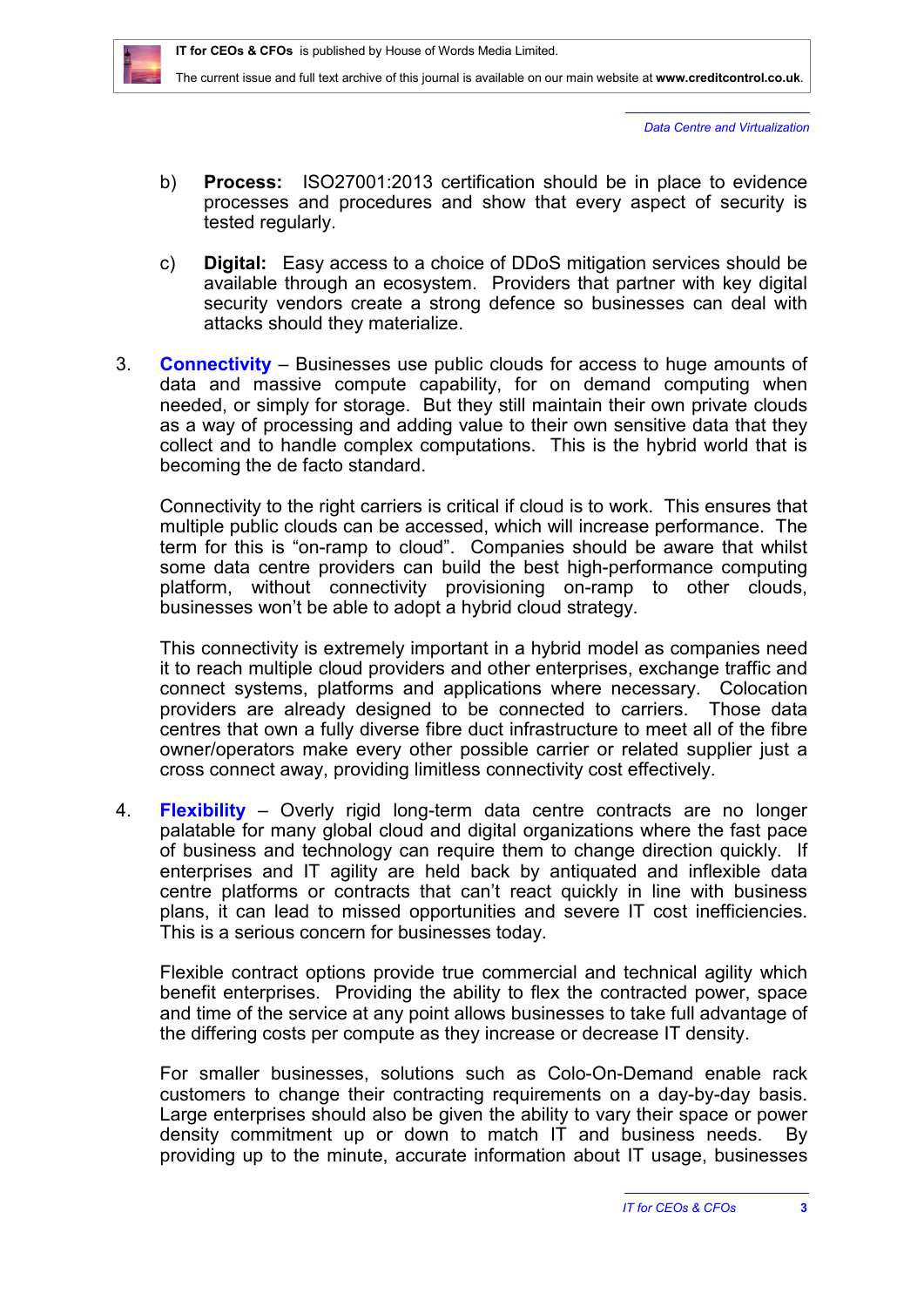

*Data Centre and Virtualization*

- b) **Process:** ISO27001:2013 certification should be in place to evidence processes and procedures and show that every aspect of security is tested regularly.
- c) **Digital:** Easy access to a choice of DDoS mitigation services should be available through an ecosystem. Providers that partner with key digital security vendors create a strong defence so businesses can deal with attacks should they materialize.
- 3. **Connectivity** Businesses use public clouds for access to huge amounts of data and massive compute capability, for on demand computing when needed, or simply for storage. But they still maintain their own private clouds as a way of processing and adding value to their own sensitive data that they collect and to handle complex computations. This is the hybrid world that is becoming the de facto standard.

Connectivity to the right carriers is critical if cloud is to work. This ensures that multiple public clouds can be accessed, which will increase performance. The term for this is "on-ramp to cloud". Companies should be aware that whilst some data centre providers can build the best high-performance computing platform, without connectivity provisioning on-ramp to other clouds, businesses won't be able to adopt a hybrid cloud strategy.

This connectivity is extremely important in a hybrid model as companies need it to reach multiple cloud providers and other enterprises, exchange traffic and connect systems, platforms and applications where necessary. Colocation providers are already designed to be connected to carriers. Those data centres that own a fully diverse fibre duct infrastructure to meet all of the fibre owner/operators make every other possible carrier or related supplier just a cross connect away, providing limitless connectivity cost effectively.

4. **Flexibility** – Overly rigid long-term data centre contracts are no longer palatable for many global cloud and digital organizations where the fast pace of business and technology can require them to change direction quickly. If enterprises and IT agility are held back by antiquated and inflexible data centre platforms or contracts that can't react quickly in line with business plans, it can lead to missed opportunities and severe IT cost inefficiencies. This is a serious concern for businesses today.

Flexible contract options provide true commercial and technical agility which benefit enterprises. Providing the ability to flex the contracted power, space and time of the service at any point allows businesses to take full advantage of the differing costs per compute as they increase or decrease IT density.

For smaller businesses, solutions such as Colo-On-Demand enable rack customers to change their contracting requirements on a day-by-day basis. Large enterprises should also be given the ability to vary their space or power density commitment up or down to match IT and business needs. By providing up to the minute, accurate information about IT usage, businesses